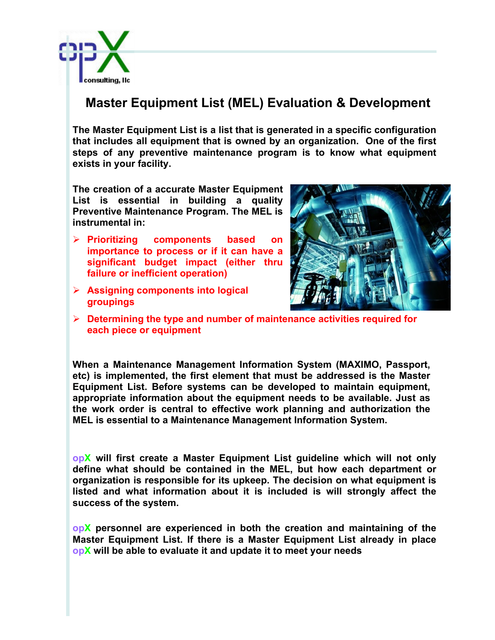

## **Master Equipment List (MEL) Evaluation & Development**

**The Master Equipment List is a list that is generated in a specific configuration that includes all equipment that is owned by an organization. One of the first steps of any preventive maintenance program is to know what equipment exists in your facility.**

**The creation of a accurate Master Equipment List is essential in building a quality Preventive Maintenance Program. The MEL is instrumental in:** 

- Ø **Prioritizing components based on importance to process or if it can have a significant budget impact (either thru failure or inefficient operation)**
- Ø **Assigning components into logical groupings**



Ø **Determining the type and number of maintenance activities required for each piece or equipment**

**When a Maintenance Management Information System (MAXIMO, Passport, etc) is implemented, the first element that must be addressed is the Master Equipment List. Before systems can be developed to maintain equipment, appropriate information about the equipment needs to be available. Just as the work order is central to effective work planning and authorization the MEL is essential to a Maintenance Management Information System.**

**opX will first create a Master Equipment List guideline which will not only define what should be contained in the MEL, but how each department or organization is responsible for its upkeep. The decision on what equipment is listed and what information about it is included is will strongly affect the success of the system.**

**opX personnel are experienced in both the creation and maintaining of the Master Equipment List. If there is a Master Equipment List already in place opX will be able to evaluate it and update it to meet your needs**